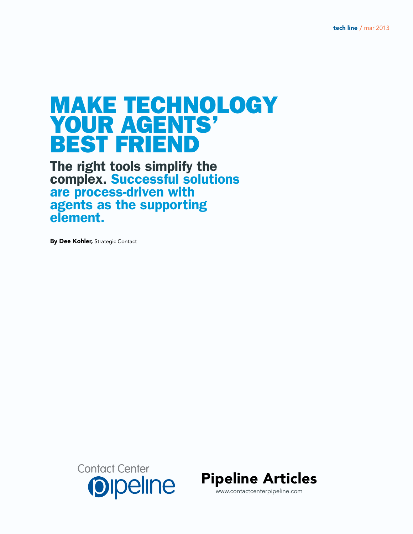# Make Technology Your Agents' Best Friend

The right tools simplify the complex. Successful solutions are process-driven with agents as the supporting element.

By Dee Kohler, Strategic Contact



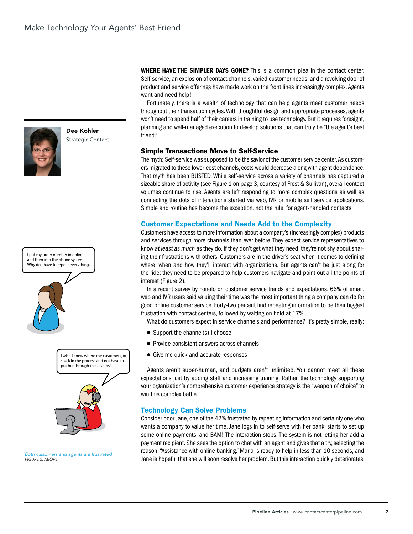

Dee Kohler Strategic Contact



*Both customers and agents are frustrated! Figure 2, above*

WHERE HAVE THE SIMPLER DAYS GONE? This is a common plea in the contact center. Self-service, an explosion of contact channels, varied customer needs, and a revolving door of product and service offerings have made work on the front lines increasingly complex. Agents want and need help!

Fortunately, there is a wealth of technology that can help agents meet customer needs throughout their transaction cycles. With thoughtful design and appropriate processes, agents won't need to spend half of their careers in training to use technology. But it requires foresight, planning and well-managed execution to develop solutions that can truly be "the agent's best friend."

#### Simple Transactions Move to Self-Service

The myth: Self-service was supposed to be the savior of the customer service center. As customers migrated to these lower-cost channels, costs would decrease along with agent dependence. That myth has been BUSTED. While self-service across a variety of channels has captured a sizeable share of activity (see Figure 1 on page 3, courtesy of Frost & Sullivan), overall contact volumes continue to rise. Agents are left responding to more complex questions as well as connecting the dots of interactions started via web, IVR or mobile self service applications. Simple and routine has become the exception, not the rule, for agent-handled contacts.

## Customer Expectations and Needs Add to the Complexity

Customers have access to more information about a company's (increasingly complex) products and services through more channels than ever before. They expect service representatives to know *at least as much* as they do. If they don't get what they need, they're not shy about sharing their frustrations with others. Customers are in the driver's seat when it comes to defining where, when and how they'll interact with organizations. But agents can't be just along for the ride; they need to be prepared to help customers navigate and point out all the points of interest (Figure 2).

In a recent survey by Fonolo on customer service trends and expectations, 66% of email, web and IVR users said valuing their time was the most important thing a company can do for good online customer service. Forty-two percent find repeating information to be their biggest frustration with contact centers, followed by waiting on hold at 17%.

What do customers expect in service channels and performance? It's pretty simple, really:

- Support the channel(s) I choose
- Provide consistent answers across channels
- Give me quick and accurate responses

Agents aren't super-human, and budgets aren't unlimited. You cannot meet all these expectations just by adding staff and increasing training. Rather, the technology supporting your organization's comprehensive customer experience strategy is the "weapon of choice" to win this complex battle.

## Technology Can Solve Problems

Consider poor Jane, one of the 42% frustrated by repeating information and certainly one who wants a company to value her time. Jane logs in to self-serve with her bank, starts to set up some online payments, and BAM! The interaction stops. The system is not letting her add a payment recipient. She sees the option to chat with an agent and gives that a try, selecting the reason, "Assistance with online banking." Maria is ready to help in less than 10 seconds, and Jane is hopeful that she will soon resolve her problem. But this interaction quickly deteriorates.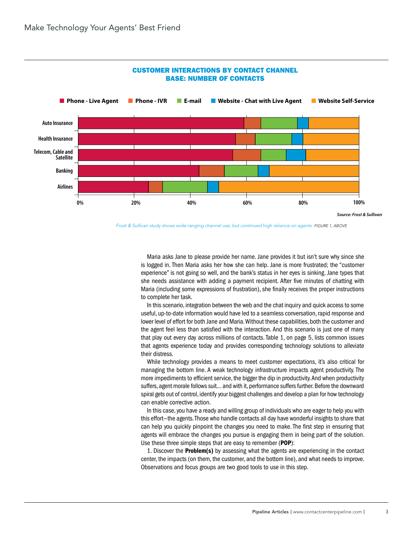

#### CUSTOMER INTERACTIONS BY CONTACT CHANNEL BASE: NUMBER OF CONTACTS

*Frost & Sullivan study shows wide-ranging channel use, but continued high reliance on agents Figure 1, above*

Maria asks Jane to please provide her name. Jane provides it but isn't sure why since she is logged in. Then Maria asks her how she can help. Jane is more frustrated; the "customer experience" is not going so well, and the bank's status in her eyes is sinking. Jane types that she needs assistance with adding a payment recipient. After five minutes of chatting with Maria (including some expressions of frustration), she finally receives the proper instructions to complete her task.

In this scenario, integration between the web and the chat inquiry and quick access to some useful, up-to-date information would have led to a seamless conversation, rapid response and lower level of effort for both Jane and Maria. Without these capabilities, both the customer and the agent feel less than satisfied with the interaction. And this scenario is just one of many that play out every day across millions of contacts. Table 1, on page 5, lists common issues that agents experience today and provides corresponding technology solutions to alleviate their distress.

While technology provides a means to meet customer expectations, it's also critical for managing the bottom line. A weak technology infrastructure impacts agent productivity. The more impediments to efficient service, the bigger the dip in productivity. And when productivity suffers, agent morale follows suit… and with it, performance suffers further. Before the downward spiral gets out of control, identify your biggest challenges and develop a plan for how technology can enable corrective action.

In this case, you have a ready and willing group of individuals who are eager to help you with this effort—the agents. Those who handle contacts all day have wonderful insights to share that can help you quickly pinpoint the changes you need to make. The first step in ensuring that agents will embrace the changes you pursue is engaging them in being part of the solution. Use these three simple steps that are easy to remember (POP):

1. Discover the **Problem(s)** by assessing what the agents are experiencing in the contact center, the impacts (on them, the customer, and the bottom line), and what needs to improve. Observations and focus groups are two good tools to use in this step.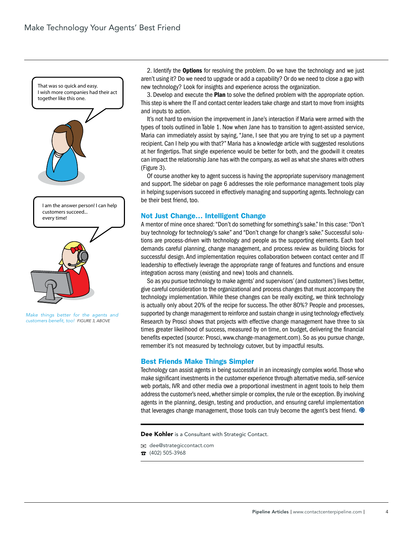

*Make things better for the agents and customers benefit, too! Figure 3, above*

2. Identify the Options for resolving the problem. Do we have the technology and we just aren't using it? Do we need to upgrade or add a capability? Or do we need to close a gap with new technology? Look for insights and experience across the organization.

3. Develop and execute the Plan to solve the defined problem with the appropriate option. This step is where the IT and contact center leaders take charge and start to move from insights and inputs to action.

It's not hard to envision the improvement in Jane's interaction if Maria were armed with the types of tools outlined in Table 1. Now when Jane has to transition to agent-assisted service, Maria can immediately assist by saying, "Jane, I see that you are trying to set up a payment recipient. Can I help you with that?" Maria has a knowledge article with suggested resolutions at her fingertips. That single experience would be better for both, and the goodwill it creates can impact the relationship Jane has with the company, as well as what she shares with others (Figure 3).

Of course another key to agent success is having the appropriate supervisory management and support. The sidebar on page 6 addresses the role performance management tools play in helping supervisors succeed in effectively managing and supporting agents. Technology can be their best friend, too.

#### Not Just Change… Intelligent Change

A mentor of mine once shared: "Don't do something for something's sake." In this case: "Don't buy technology for technology's sake" and "Don't change for change's sake." Successful solutions are process-driven with technology and people as the supporting elements. Each tool demands careful planning, change management, and process review as building blocks for successful design. And implementation requires collaboration between contact center and IT leadership to effectively leverage the appropriate range of features and functions and ensure integration across many (existing and new) tools and channels.

So as you pursue technology to make agents' and supervisors' (and customers') lives better, give careful consideration to the organizational and process changes that must accompany the technology implementation. While these changes can be really exciting, we think technology is actually only about 20% of the recipe for success. The other 80%? People and processes, supported by change management to reinforce and sustain change in using technology effectively. Research by Prosci shows that projects with effective change management have three to six times greater likelihood of success, measured by on time, on budget, delivering the financial benefits expected (source: Prosci, www.change-management.com). So as you pursue change, remember it's not measured by technology cutover, but by impactful results.

#### Best Friends Make Things Simpler

Technology can assist agents in being successful in an increasingly complex world. Those who make significant investments in the customer experience through alternative media, self-service web portals, IVR and other media owe a proportional investment in agent tools to help them address the customer's need, whether simple or complex, the rule or the exception. By involving agents in the planning, design, testing and production, and ensuring careful implementation that leverages change management, those tools can truly become the agent's best friend.  $\bullet$ 

Dee Kohler is a Consultant with Strategic Contact.

dee@strategiccontact.com

 $\hat{B}$  (402) 505-3968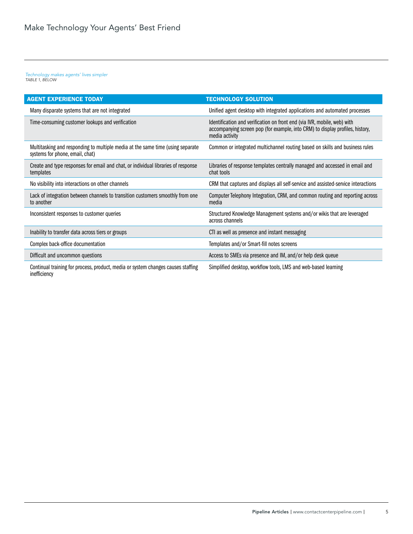## *Technology makes agents' lives simpler TABLE 1, BELOW*

| <b>AGENT EXPERIENCE TODAY</b>                                                                                     | <b>TECHNOLOGY SOLUTION</b>                                                                                                                                                  |
|-------------------------------------------------------------------------------------------------------------------|-----------------------------------------------------------------------------------------------------------------------------------------------------------------------------|
| Many disparate systems that are not integrated                                                                    | Unified agent desktop with integrated applications and automated processes                                                                                                  |
| Time-consuming customer lookups and verification                                                                  | Identification and verification on front end (via IVR, mobile, web) with<br>accompanying screen pop (for example, into CRM) to display profiles, history,<br>media activity |
| Multitasking and responding to multiple media at the same time (using separate<br>systems for phone, email, chat) | Common or integrated multichannel routing based on skills and business rules                                                                                                |
| Create and type responses for email and chat, or individual libraries of response<br>templates                    | Libraries of response templates centrally managed and accessed in email and<br>chat tools                                                                                   |
| No visibility into interactions on other channels                                                                 | CRM that captures and displays all self-service and assisted-service interactions                                                                                           |
| Lack of integration between channels to transition customers smoothly from one<br>to another                      | Computer Telephony Integration, CRM, and common routing and reporting across<br>media                                                                                       |
| Inconsistent responses to customer queries                                                                        | Structured Knowledge Management systems and/or wikis that are leveraged<br>across channels                                                                                  |
| Inability to transfer data across tiers or groups                                                                 | CTI as well as presence and instant messaging                                                                                                                               |
| Complex back-office documentation                                                                                 | Templates and/or Smart-fill notes screens                                                                                                                                   |
| Difficult and uncommon questions                                                                                  | Access to SMEs via presence and IM, and/or help desk queue                                                                                                                  |
| Continual training for process, product, media or system changes causes staffing<br>inefficiency                  | Simplified desktop, workflow tools, LMS and web-based learning                                                                                                              |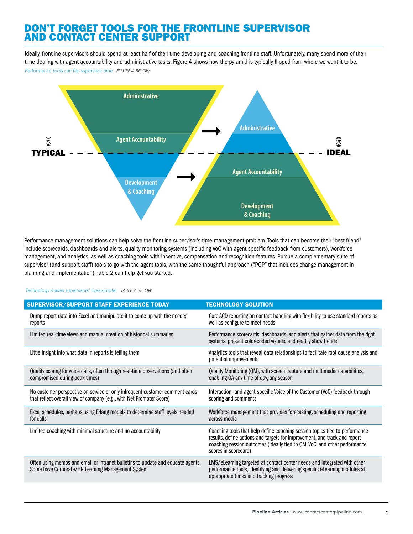# Don't Forget Tools for the Frontline Supervisor **AND CONTACT CENTER SUPPOR**

Ideally, frontline supervisors should spend at least half of their time developing and coaching frontline staff. Unfortunately, many spend more of their time dealing with agent accountability and administrative tasks. Figure 4 shows how the pyramid is typically flipped from where we want it to be.

*Performance tools can flip supervisor time FIGURE 4, BELOW*



Performance management solutions can help solve the frontline supervisor's time-management problem. Tools that can become their "best friend" include scorecards, dashboards and alerts, quality monitoring systems (including VoC with agent specific feedback from customers), workforce management, and analytics, as well as coaching tools with incentive, compensation and recognition features. Pursue a complementary suite of supervisor (and support staff) tools to go with the agent tools, with the same thoughtful approach ("POP" that includes change management in planning and implementation). Table 2 can help get you started.

#### *Technology makes supervisors' lives simpler TABLE 2, BELOW*

| <b>SUPERVISOR/SUPPORT STAFF EXPERIENCE TODAY</b>                                                                                                     | <b>TECHNOLOGY SOLUTION</b>                                                                                                                                                                                                                                    |
|------------------------------------------------------------------------------------------------------------------------------------------------------|---------------------------------------------------------------------------------------------------------------------------------------------------------------------------------------------------------------------------------------------------------------|
| Dump report data into Excel and manipulate it to come up with the needed<br>reports                                                                  | Core ACD reporting on contact handling with flexibility to use standard reports as<br>well as configure to meet needs                                                                                                                                         |
| Limited real-time views and manual creation of historical summaries                                                                                  | Performance scorecards, dashboards, and alerts that gather data from the right<br>systems, present color-coded visuals, and readily show trends                                                                                                               |
| Little insight into what data in reports is telling them                                                                                             | Analytics tools that reveal data relationships to facilitate root cause analysis and<br>potential improvements                                                                                                                                                |
| Quality scoring for voice calls, often through real-time observations (and often<br>compromised during peak times)                                   | Quality Monitoring (QM), with screen capture and multimedia capabilities,<br>enabling QA any time of day, any season                                                                                                                                          |
| No customer perspective on service or only infrequent customer comment cards<br>that reflect overall view of company (e.g., with Net Promoter Score) | Interaction- and agent-specific Voice of the Customer (VoC) feedback through<br>scoring and comments                                                                                                                                                          |
| Excel schedules, perhaps using Erlang models to determine staff levels needed<br>for calls                                                           | Workforce management that provides forecasting, scheduling and reporting<br>across media                                                                                                                                                                      |
| Limited coaching with minimal structure and no accountability                                                                                        | Coaching tools that help define coaching session topics tied to performance<br>results, define actions and targets for improvement, and track and report<br>coaching session outcomes (ideally tied to QM, VoC, and other performance<br>scores in scorecard) |
| Often using memos and email or intranet bulletins to update and educate agents.<br>Some have Corporate/HR Learning Management System                 | LMS/eLearning targeted at contact center needs and integrated with other<br>performance tools, identifying and delivering specific eLearning modules at<br>appropriate times and tracking progress                                                            |